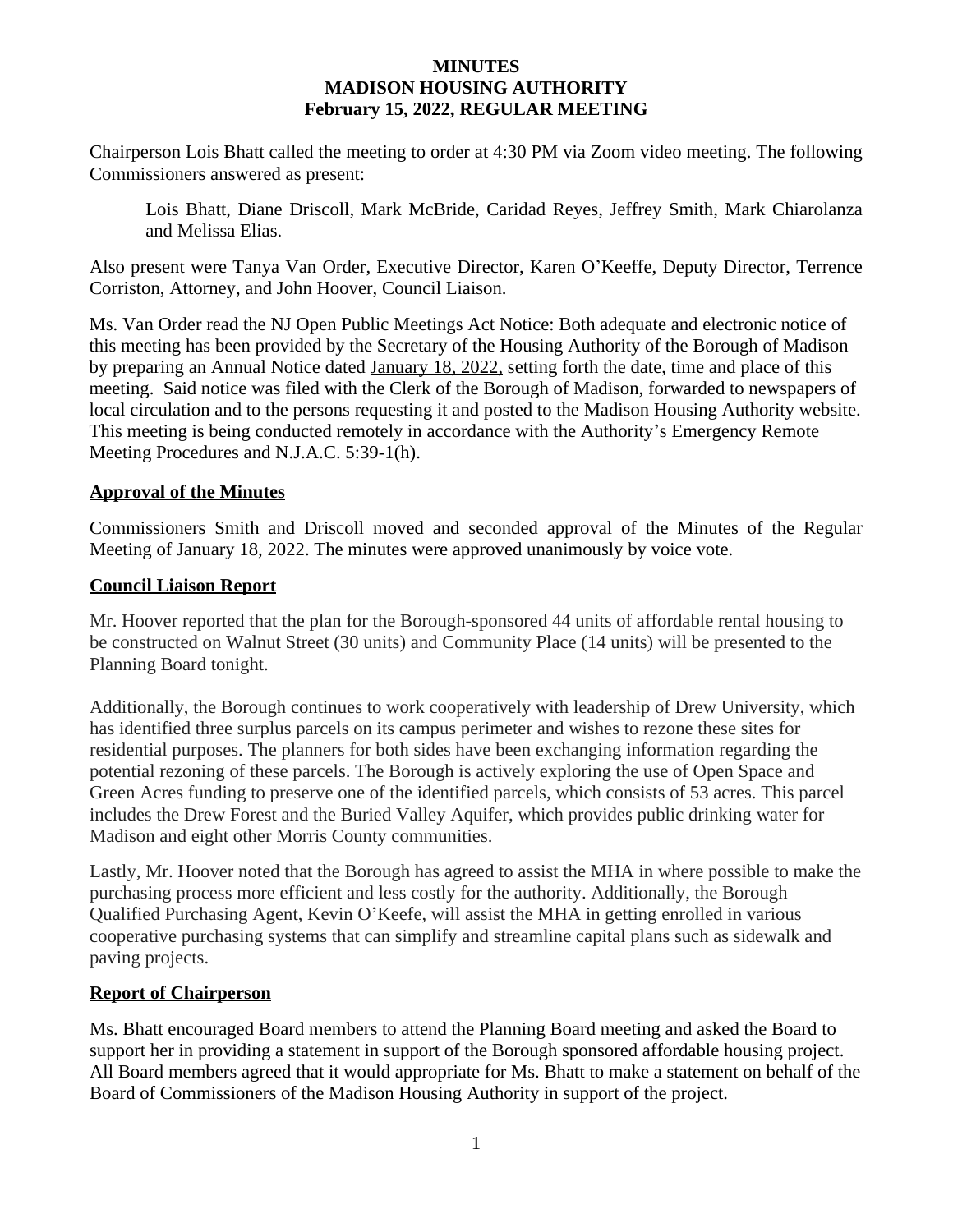### **MINUTES MADISON HOUSING AUTHORITY February 15, 2022, REGULAR MEETING**

Chairperson Lois Bhatt called the meeting to order at 4:30 PM via Zoom video meeting. The following Commissioners answered as present:

Lois Bhatt, Diane Driscoll, Mark McBride, Caridad Reyes, Jeffrey Smith, Mark Chiarolanza and Melissa Elias.

Also present were Tanya Van Order, Executive Director, Karen O'Keeffe, Deputy Director, Terrence Corriston, Attorney, and John Hoover, Council Liaison.

Ms. Van Order read the NJ Open Public Meetings Act Notice: Both adequate and electronic notice of this meeting has been provided by the Secretary of the Housing Authority of the Borough of Madison by preparing an Annual Notice dated January 18, 2022, setting forth the date, time and place of this meeting. Said notice was filed with the Clerk of the Borough of Madison, forwarded to newspapers of local circulation and to the persons requesting it and posted to the Madison Housing Authority website. This meeting is being conducted remotely in accordance with the Authority's Emergency Remote Meeting Procedures and N.J.A.C. 5:39-1(h).

### **Approval of the Minutes**

Commissioners Smith and Driscoll moved and seconded approval of the Minutes of the Regular Meeting of January 18, 2022. The minutes were approved unanimously by voice vote.

### **Council Liaison Report**

Mr. Hoover reported that the plan for the Borough-sponsored 44 units of affordable rental housing to be constructed on Walnut Street (30 units) and Community Place (14 units) will be presented to the Planning Board tonight.

Additionally, the Borough continues to work cooperatively with leadership of Drew University, which has identified three surplus parcels on its campus perimeter and wishes to rezone these sites for residential purposes. The planners for both sides have been exchanging information regarding the potential rezoning of these parcels. The Borough is actively exploring the use of Open Space and Green Acres funding to preserve one of the identified parcels, which consists of 53 acres. This parcel includes the Drew Forest and the Buried Valley Aquifer, which provides public drinking water for Madison and eight other Morris County communities.

Lastly, Mr. Hoover noted that the Borough has agreed to assist the MHA in where possible to make the purchasing process more efficient and less costly for the authority. Additionally, the Borough Qualified Purchasing Agent, Kevin O'Keefe, will assist the MHA in getting enrolled in various cooperative purchasing systems that can simplify and streamline capital plans such as sidewalk and paving projects.

### **Report of Chairperson**

Ms. Bhatt encouraged Board members to attend the Planning Board meeting and asked the Board to support her in providing a statement in support of the Borough sponsored affordable housing project. All Board members agreed that it would appropriate for Ms. Bhatt to make a statement on behalf of the Board of Commissioners of the Madison Housing Authority in support of the project.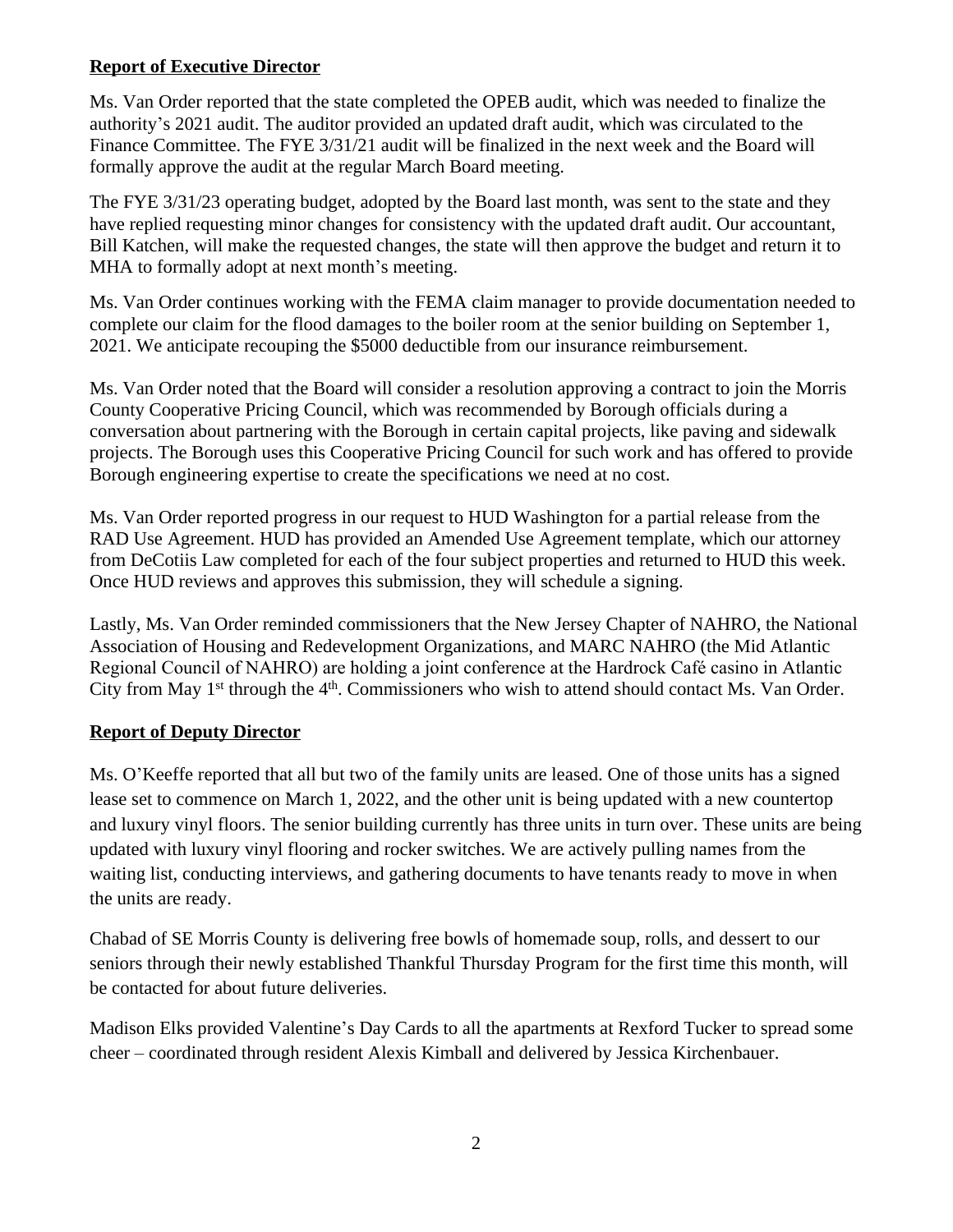## **Report of Executive Director**

Ms. Van Order reported that the state completed the OPEB audit, which was needed to finalize the authority's 2021 audit. The auditor provided an updated draft audit, which was circulated to the Finance Committee. The FYE 3/31/21 audit will be finalized in the next week and the Board will formally approve the audit at the regular March Board meeting.

The FYE 3/31/23 operating budget, adopted by the Board last month, was sent to the state and they have replied requesting minor changes for consistency with the updated draft audit. Our accountant, Bill Katchen, will make the requested changes, the state will then approve the budget and return it to MHA to formally adopt at next month's meeting.

Ms. Van Order continues working with the FEMA claim manager to provide documentation needed to complete our claim for the flood damages to the boiler room at the senior building on September 1, 2021. We anticipate recouping the \$5000 deductible from our insurance reimbursement.

Ms. Van Order noted that the Board will consider a resolution approving a contract to join the Morris County Cooperative Pricing Council, which was recommended by Borough officials during a conversation about partnering with the Borough in certain capital projects, like paving and sidewalk projects. The Borough uses this Cooperative Pricing Council for such work and has offered to provide Borough engineering expertise to create the specifications we need at no cost.

Ms. Van Order reported progress in our request to HUD Washington for a partial release from the RAD Use Agreement. HUD has provided an Amended Use Agreement template, which our attorney from DeCotiis Law completed for each of the four subject properties and returned to HUD this week. Once HUD reviews and approves this submission, they will schedule a signing.

Lastly, Ms. Van Order reminded commissioners that the New Jersey Chapter of NAHRO, the National Association of Housing and Redevelopment Organizations, and MARC NAHRO (the Mid Atlantic Regional Council of NAHRO) are holding a joint conference at the Hardrock Café casino in Atlantic City from May 1<sup>st</sup> through the 4<sup>th</sup>. Commissioners who wish to attend should contact Ms. Van Order.

## **Report of Deputy Director**

Ms. O'Keeffe reported that all but two of the family units are leased. One of those units has a signed lease set to commence on March 1, 2022, and the other unit is being updated with a new countertop and luxury vinyl floors. The senior building currently has three units in turn over. These units are being updated with luxury vinyl flooring and rocker switches. We are actively pulling names from the waiting list, conducting interviews, and gathering documents to have tenants ready to move in when the units are ready.

Chabad of SE Morris County is delivering free bowls of homemade soup, rolls, and dessert to our seniors through their newly established Thankful Thursday Program for the first time this month, will be contacted for about future deliveries.

Madison Elks provided Valentine's Day Cards to all the apartments at Rexford Tucker to spread some cheer – coordinated through resident Alexis Kimball and delivered by Jessica Kirchenbauer.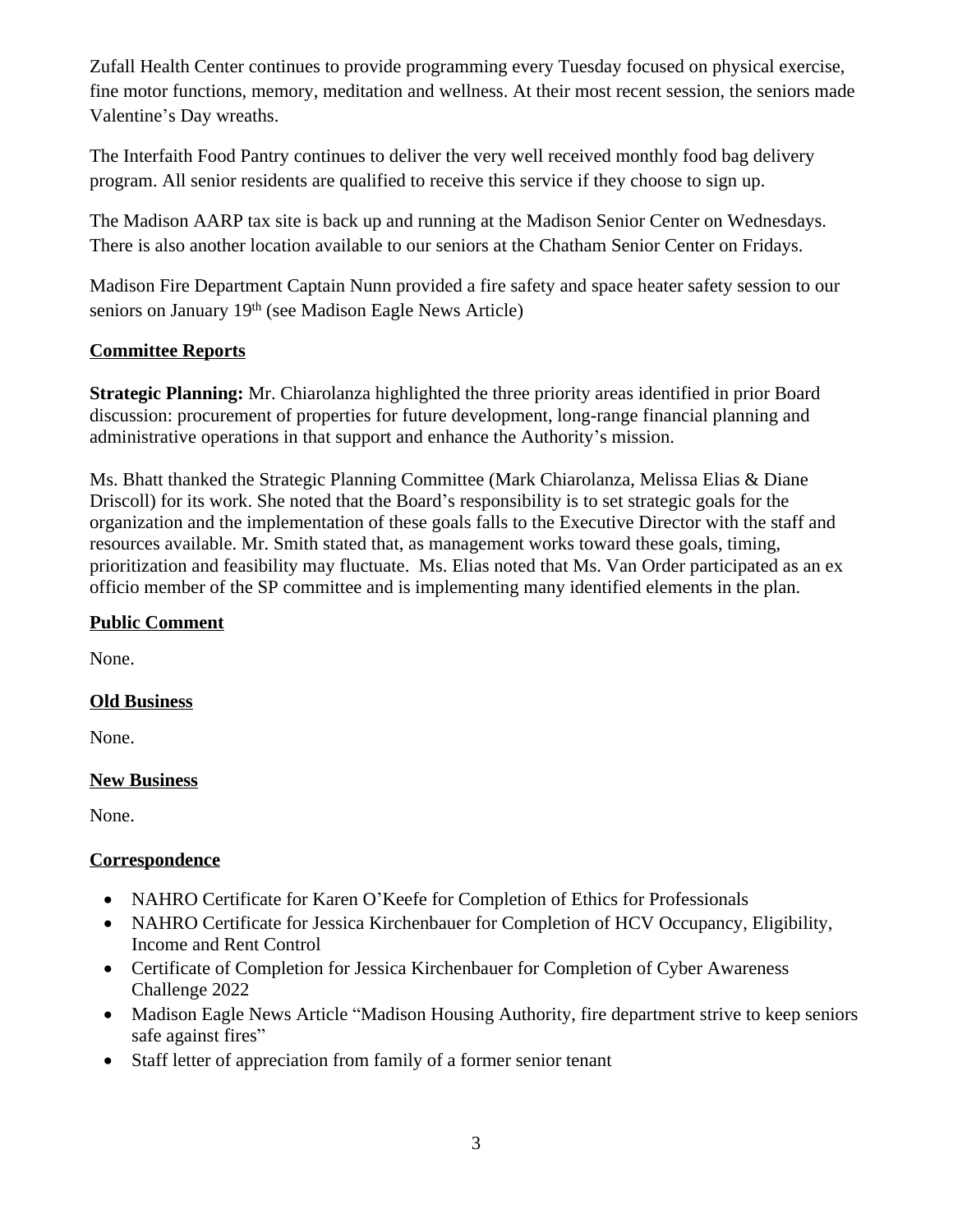Zufall Health Center continues to provide programming every Tuesday focused on physical exercise, fine motor functions, memory, meditation and wellness. At their most recent session, the seniors made Valentine's Day wreaths.

The Interfaith Food Pantry continues to deliver the very well received monthly food bag delivery program. All senior residents are qualified to receive this service if they choose to sign up.

The Madison AARP tax site is back up and running at the Madison Senior Center on Wednesdays. There is also another location available to our seniors at the Chatham Senior Center on Fridays.

Madison Fire Department Captain Nunn provided a fire safety and space heater safety session to our seniors on January 19th (see Madison Eagle News Article)

# **Committee Reports**

**Strategic Planning:** Mr. Chiarolanza highlighted the three priority areas identified in prior Board discussion: procurement of properties for future development, long-range financial planning and administrative operations in that support and enhance the Authority's mission.

Ms. Bhatt thanked the Strategic Planning Committee (Mark Chiarolanza, Melissa Elias & Diane Driscoll) for its work. She noted that the Board's responsibility is to set strategic goals for the organization and the implementation of these goals falls to the Executive Director with the staff and resources available. Mr. Smith stated that, as management works toward these goals, timing, prioritization and feasibility may fluctuate. Ms. Elias noted that Ms. Van Order participated as an ex officio member of the SP committee and is implementing many identified elements in the plan.

## **Public Comment**

None.

## **Old Business**

None.

## **New Business**

None.

## **Correspondence**

- NAHRO Certificate for Karen O'Keefe for Completion of Ethics for Professionals
- NAHRO Certificate for Jessica Kirchenbauer for Completion of HCV Occupancy, Eligibility, Income and Rent Control
- Certificate of Completion for Jessica Kirchenbauer for Completion of Cyber Awareness Challenge 2022
- Madison Eagle News Article "Madison Housing Authority, fire department strive to keep seniors safe against fires"
- Staff letter of appreciation from family of a former senior tenant